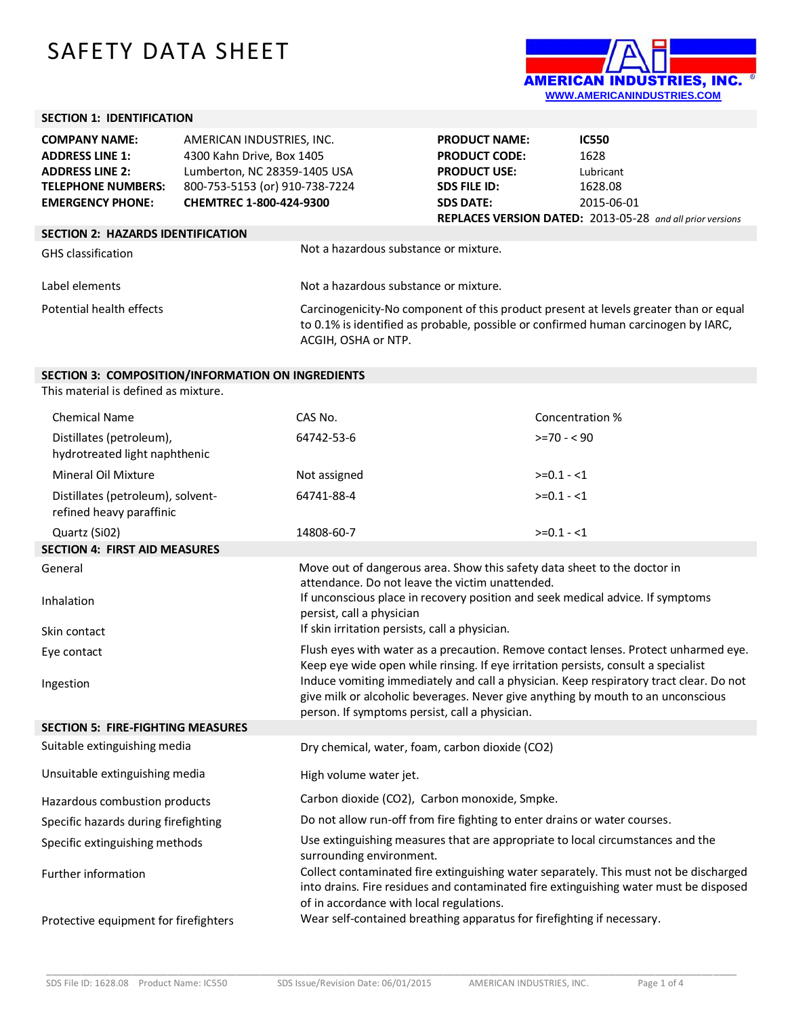## SAFETY DATA SHEET



## **SECTION 1: IDENTIFICATION**

| <b>COMPANY NAME:</b>                     | AMERICAN INDUSTRIES, INC.      |                                       | <b>PRODUCT NAME:</b> | <b>IC550</b>                                                                                                                                                               |
|------------------------------------------|--------------------------------|---------------------------------------|----------------------|----------------------------------------------------------------------------------------------------------------------------------------------------------------------------|
| <b>ADDRESS LINE 1:</b>                   | 4300 Kahn Drive, Box 1405      |                                       | <b>PRODUCT CODE:</b> | 1628                                                                                                                                                                       |
| <b>ADDRESS LINE 2:</b>                   | Lumberton, NC 28359-1405 USA   |                                       | <b>PRODUCT USE:</b>  | Lubricant                                                                                                                                                                  |
| <b>TELEPHONE NUMBERS:</b>                | 800-753-5153 (or) 910-738-7224 |                                       | <b>SDS FILE ID:</b>  | 1628.08                                                                                                                                                                    |
| <b>EMERGENCY PHONE:</b>                  | CHEMTREC 1-800-424-9300        |                                       | <b>SDS DATE:</b>     | 2015-06-01                                                                                                                                                                 |
|                                          |                                |                                       |                      | <b>REPLACES VERSION DATED:</b> 2013-05-28 and all prior versions                                                                                                           |
| <b>SECTION 2: HAZARDS IDENTIFICATION</b> |                                |                                       |                      |                                                                                                                                                                            |
| <b>GHS</b> classification                |                                | Not a hazardous substance or mixture. |                      |                                                                                                                                                                            |
| Label elements                           |                                | Not a hazardous substance or mixture. |                      |                                                                                                                                                                            |
| Potential health effects                 |                                | ACGIH, OSHA or NTP.                   |                      | Carcinogenicity-No component of this product present at levels greater than or equal<br>to 0.1% is identified as probable, possible or confirmed human carcinogen by IARC, |

## **SECTION 3: COMPOSITION/INFORMATION ON INGREDIENTS**

This material is defined as mixture.

| <b>Chemical Name</b>                                          | CAS No.                                                                                                                                                                                                                      | Concentration % |  |
|---------------------------------------------------------------|------------------------------------------------------------------------------------------------------------------------------------------------------------------------------------------------------------------------------|-----------------|--|
| Distillates (petroleum),<br>hydrotreated light naphthenic     | 64742-53-6                                                                                                                                                                                                                   | $>=70 - 90$     |  |
| <b>Mineral Oil Mixture</b>                                    | Not assigned                                                                                                                                                                                                                 | $>=0.1 - 1$     |  |
| Distillates (petroleum), solvent-<br>refined heavy paraffinic | 64741-88-4                                                                                                                                                                                                                   | $>=0.1 - 1$     |  |
| Quartz (Si02)                                                 | 14808-60-7                                                                                                                                                                                                                   | $>=0.1 - 1$     |  |
| <b>SECTION 4: FIRST AID MEASURES</b>                          |                                                                                                                                                                                                                              |                 |  |
| General                                                       | Move out of dangerous area. Show this safety data sheet to the doctor in<br>attendance. Do not leave the victim unattended.                                                                                                  |                 |  |
| Inhalation                                                    | If unconscious place in recovery position and seek medical advice. If symptoms<br>persist, call a physician                                                                                                                  |                 |  |
| Skin contact                                                  | If skin irritation persists, call a physician.                                                                                                                                                                               |                 |  |
| Eye contact                                                   | Flush eyes with water as a precaution. Remove contact lenses. Protect unharmed eye.<br>Keep eye wide open while rinsing. If eye irritation persists, consult a specialist                                                    |                 |  |
| Ingestion                                                     | Induce vomiting immediately and call a physician. Keep respiratory tract clear. Do not<br>give milk or alcoholic beverages. Never give anything by mouth to an unconscious<br>person. If symptoms persist, call a physician. |                 |  |
| <b>SECTION 5: FIRE-FIGHTING MEASURES</b>                      |                                                                                                                                                                                                                              |                 |  |
| Suitable extinguishing media                                  | Dry chemical, water, foam, carbon dioxide (CO2)                                                                                                                                                                              |                 |  |
| Unsuitable extinguishing media                                | High volume water jet.                                                                                                                                                                                                       |                 |  |
| Hazardous combustion products                                 | Carbon dioxide (CO2), Carbon monoxide, Smpke.                                                                                                                                                                                |                 |  |
| Specific hazards during firefighting                          | Do not allow run-off from fire fighting to enter drains or water courses.                                                                                                                                                    |                 |  |
| Specific extinguishing methods                                | Use extinguishing measures that are appropriate to local circumstances and the<br>surrounding environment.                                                                                                                   |                 |  |
| Further information                                           | Collect contaminated fire extinguishing water separately. This must not be discharged<br>into drains. Fire residues and contaminated fire extinguishing water must be disposed<br>of in accordance with local regulations.   |                 |  |
| Protective equipment for firefighters                         | Wear self-contained breathing apparatus for firefighting if necessary.                                                                                                                                                       |                 |  |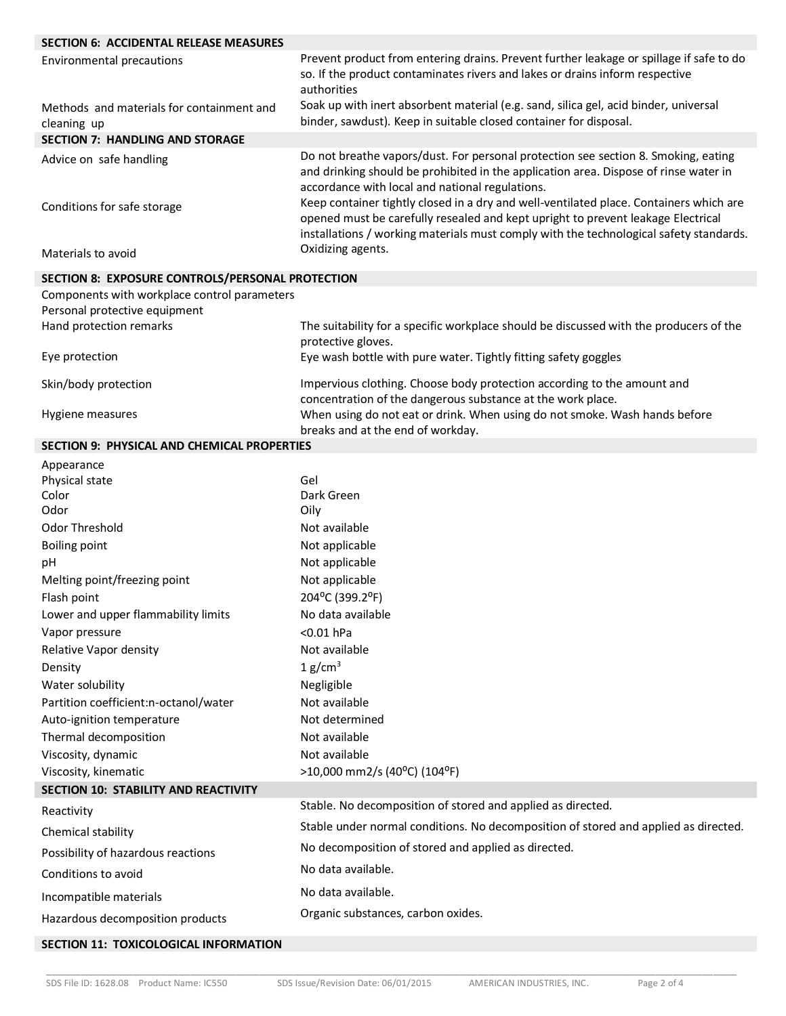| <b>SECTION 6: ACCIDENTAL RELEASE MEASURES</b>            |                                                                                                                                                                                                                                                                                                                                                                                                             |
|----------------------------------------------------------|-------------------------------------------------------------------------------------------------------------------------------------------------------------------------------------------------------------------------------------------------------------------------------------------------------------------------------------------------------------------------------------------------------------|
| <b>Environmental precautions</b>                         | Prevent product from entering drains. Prevent further leakage or spillage if safe to do<br>so. If the product contaminates rivers and lakes or drains inform respective<br>authorities                                                                                                                                                                                                                      |
| Methods and materials for containment and<br>cleaning up | Soak up with inert absorbent material (e.g. sand, silica gel, acid binder, universal<br>binder, sawdust). Keep in suitable closed container for disposal.                                                                                                                                                                                                                                                   |
| <b>SECTION 7: HANDLING AND STORAGE</b>                   |                                                                                                                                                                                                                                                                                                                                                                                                             |
| Advice on safe handling<br>Conditions for safe storage   | Do not breathe vapors/dust. For personal protection see section 8. Smoking, eating<br>and drinking should be prohibited in the application area. Dispose of rinse water in<br>accordance with local and national regulations.<br>Keep container tightly closed in a dry and well-ventilated place. Containers which are<br>opened must be carefully resealed and kept upright to prevent leakage Electrical |
| Materials to avoid                                       | installations / working materials must comply with the technological safety standards.<br>Oxidizing agents.                                                                                                                                                                                                                                                                                                 |
| SECTION 8: EXPOSURE CONTROLS/PERSONAL PROTECTION         |                                                                                                                                                                                                                                                                                                                                                                                                             |
| Components with workplace control parameters             |                                                                                                                                                                                                                                                                                                                                                                                                             |
| Personal protective equipment                            |                                                                                                                                                                                                                                                                                                                                                                                                             |
| Hand protection remarks                                  | The suitability for a specific workplace should be discussed with the producers of the                                                                                                                                                                                                                                                                                                                      |
| Eye protection                                           | protective gloves.<br>Eye wash bottle with pure water. Tightly fitting safety goggles                                                                                                                                                                                                                                                                                                                       |
| Skin/body protection                                     | Impervious clothing. Choose body protection according to the amount and                                                                                                                                                                                                                                                                                                                                     |
| Hygiene measures                                         | concentration of the dangerous substance at the work place.<br>When using do not eat or drink. When using do not smoke. Wash hands before<br>breaks and at the end of workday.                                                                                                                                                                                                                              |
| <b>SECTION 9: PHYSICAL AND CHEMICAL PROPERTIES</b>       |                                                                                                                                                                                                                                                                                                                                                                                                             |
| Appearance                                               |                                                                                                                                                                                                                                                                                                                                                                                                             |
| Physical state                                           | Gel                                                                                                                                                                                                                                                                                                                                                                                                         |
| Color                                                    | Dark Green                                                                                                                                                                                                                                                                                                                                                                                                  |
| Odor                                                     | Oily                                                                                                                                                                                                                                                                                                                                                                                                        |
| Odor Threshold                                           | Not available                                                                                                                                                                                                                                                                                                                                                                                               |
| <b>Boiling point</b><br>pH                               | Not applicable                                                                                                                                                                                                                                                                                                                                                                                              |
| Melting point/freezing point                             | Not applicable<br>Not applicable                                                                                                                                                                                                                                                                                                                                                                            |
| Flash point                                              | 204°C (399.2°F)                                                                                                                                                                                                                                                                                                                                                                                             |
| Lower and upper flammability limits                      | No data available                                                                                                                                                                                                                                                                                                                                                                                           |
| Vapor pressure                                           | <0.01 hPa                                                                                                                                                                                                                                                                                                                                                                                                   |
| Relative Vapor density                                   | Not available                                                                                                                                                                                                                                                                                                                                                                                               |
| Density                                                  | 1 g/cm <sup>3</sup>                                                                                                                                                                                                                                                                                                                                                                                         |
| Water solubility                                         | Negligible                                                                                                                                                                                                                                                                                                                                                                                                  |
| Partition coefficient:n-octanol/water                    | Not available                                                                                                                                                                                                                                                                                                                                                                                               |
| Auto-ignition temperature                                | Not determined                                                                                                                                                                                                                                                                                                                                                                                              |
| Thermal decomposition                                    | Not available                                                                                                                                                                                                                                                                                                                                                                                               |
| Viscosity, dynamic                                       | Not available                                                                                                                                                                                                                                                                                                                                                                                               |
| Viscosity, kinematic                                     | >10,000 mm2/s (40°C) (104°F)                                                                                                                                                                                                                                                                                                                                                                                |
| <b>SECTION 10: STABILITY AND REACTIVITY</b>              |                                                                                                                                                                                                                                                                                                                                                                                                             |
| Reactivity                                               | Stable. No decomposition of stored and applied as directed.                                                                                                                                                                                                                                                                                                                                                 |
| Chemical stability                                       | Stable under normal conditions. No decomposition of stored and applied as directed.                                                                                                                                                                                                                                                                                                                         |
| Possibility of hazardous reactions                       | No decomposition of stored and applied as directed.                                                                                                                                                                                                                                                                                                                                                         |
| Conditions to avoid                                      | No data available.                                                                                                                                                                                                                                                                                                                                                                                          |
| Incompatible materials                                   | No data available.                                                                                                                                                                                                                                                                                                                                                                                          |
| Hazardous decomposition products                         | Organic substances, carbon oxides.                                                                                                                                                                                                                                                                                                                                                                          |
| SECTION 11: TOXICOLOGICAL INFORMATION                    |                                                                                                                                                                                                                                                                                                                                                                                                             |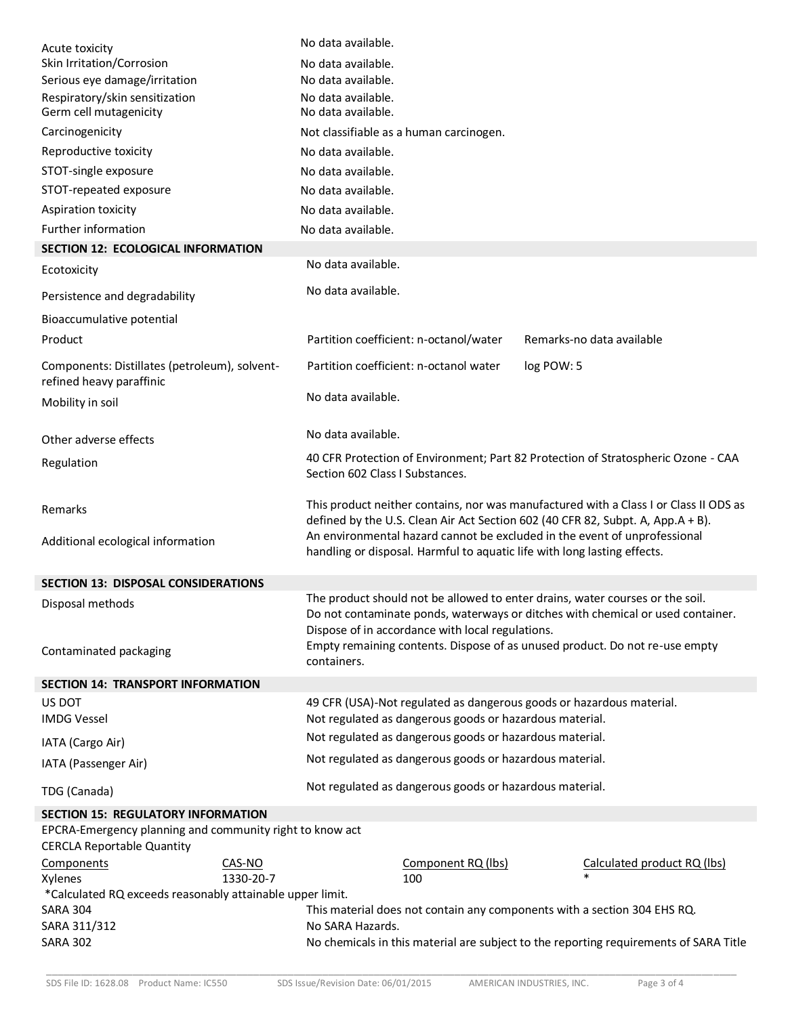| No data available.<br>40 CFR Protection of Environment; Part 82 Protection of Stratospheric Ozone - CAA<br>Section 602 Class I Substances.<br>This product neither contains, nor was manufactured with a Class I or Class II ODS as<br>defined by the U.S. Clean Air Act Section 602 (40 CFR 82, Subpt. A, App.A + B).<br>An environmental hazard cannot be excluded in the event of unprofessional<br>handling or disposal. Harmful to aquatic life with long lasting effects. |  |  |  |
|---------------------------------------------------------------------------------------------------------------------------------------------------------------------------------------------------------------------------------------------------------------------------------------------------------------------------------------------------------------------------------------------------------------------------------------------------------------------------------|--|--|--|
|                                                                                                                                                                                                                                                                                                                                                                                                                                                                                 |  |  |  |
|                                                                                                                                                                                                                                                                                                                                                                                                                                                                                 |  |  |  |
|                                                                                                                                                                                                                                                                                                                                                                                                                                                                                 |  |  |  |
|                                                                                                                                                                                                                                                                                                                                                                                                                                                                                 |  |  |  |
|                                                                                                                                                                                                                                                                                                                                                                                                                                                                                 |  |  |  |
|                                                                                                                                                                                                                                                                                                                                                                                                                                                                                 |  |  |  |
|                                                                                                                                                                                                                                                                                                                                                                                                                                                                                 |  |  |  |
|                                                                                                                                                                                                                                                                                                                                                                                                                                                                                 |  |  |  |
| No data available.                                                                                                                                                                                                                                                                                                                                                                                                                                                              |  |  |  |
|                                                                                                                                                                                                                                                                                                                                                                                                                                                                                 |  |  |  |
| Partition coefficient: n-octanol water<br>log POW: 5                                                                                                                                                                                                                                                                                                                                                                                                                            |  |  |  |
| Partition coefficient: n-octanol/water<br>Remarks-no data available                                                                                                                                                                                                                                                                                                                                                                                                             |  |  |  |
|                                                                                                                                                                                                                                                                                                                                                                                                                                                                                 |  |  |  |
|                                                                                                                                                                                                                                                                                                                                                                                                                                                                                 |  |  |  |
| No data available.                                                                                                                                                                                                                                                                                                                                                                                                                                                              |  |  |  |
|                                                                                                                                                                                                                                                                                                                                                                                                                                                                                 |  |  |  |
| No data available.                                                                                                                                                                                                                                                                                                                                                                                                                                                              |  |  |  |
|                                                                                                                                                                                                                                                                                                                                                                                                                                                                                 |  |  |  |
| No data available.                                                                                                                                                                                                                                                                                                                                                                                                                                                              |  |  |  |
| No data available.                                                                                                                                                                                                                                                                                                                                                                                                                                                              |  |  |  |
| No data available.                                                                                                                                                                                                                                                                                                                                                                                                                                                              |  |  |  |
|                                                                                                                                                                                                                                                                                                                                                                                                                                                                                 |  |  |  |
| No data available.                                                                                                                                                                                                                                                                                                                                                                                                                                                              |  |  |  |
| No data available.                                                                                                                                                                                                                                                                                                                                                                                                                                                              |  |  |  |
|                                                                                                                                                                                                                                                                                                                                                                                                                                                                                 |  |  |  |
| Not classifiable as a human carcinogen.                                                                                                                                                                                                                                                                                                                                                                                                                                         |  |  |  |
|                                                                                                                                                                                                                                                                                                                                                                                                                                                                                 |  |  |  |
|                                                                                                                                                                                                                                                                                                                                                                                                                                                                                 |  |  |  |
|                                                                                                                                                                                                                                                                                                                                                                                                                                                                                 |  |  |  |
| No data available.                                                                                                                                                                                                                                                                                                                                                                                                                                                              |  |  |  |
| No data available.                                                                                                                                                                                                                                                                                                                                                                                                                                                              |  |  |  |
|                                                                                                                                                                                                                                                                                                                                                                                                                                                                                 |  |  |  |
|                                                                                                                                                                                                                                                                                                                                                                                                                                                                                 |  |  |  |
|                                                                                                                                                                                                                                                                                                                                                                                                                                                                                 |  |  |  |
| No data available.                                                                                                                                                                                                                                                                                                                                                                                                                                                              |  |  |  |
|                                                                                                                                                                                                                                                                                                                                                                                                                                                                                 |  |  |  |
| No data available.                                                                                                                                                                                                                                                                                                                                                                                                                                                              |  |  |  |
| No data available.                                                                                                                                                                                                                                                                                                                                                                                                                                                              |  |  |  |
|                                                                                                                                                                                                                                                                                                                                                                                                                                                                                 |  |  |  |